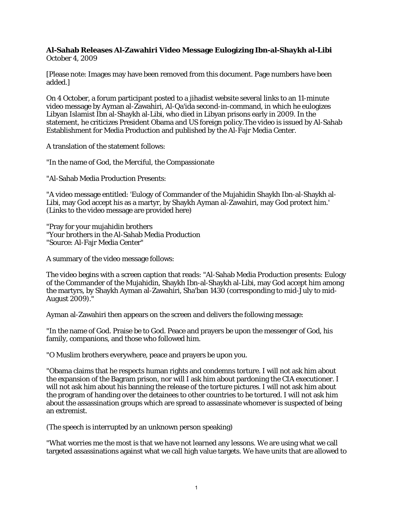## **Al-Sahab Releases Al-Zawahiri Video Message Eulogizing Ibn-al-Shaykh al-Libi** October 4, 2009

[Please note: Images may have been removed from this document. Page numbers have been added.]

On 4 October, a forum participant posted to a jihadist website several links to an 11-minute video message by Ayman al-Zawahiri, Al-Qa'ida second-in-command, in which he eulogizes Libyan Islamist Ibn al-Shaykh al-Libi, who died in Libyan prisons early in 2009. In the statement, he criticizes President Obama and US foreign policy.The video is issued by Al-Sahab Establishment for Media Production and published by the Al-Fajr Media Center.

A translation of the statement follows:

"In the name of God, the Merciful, the Compassionate

"Al-Sahab Media Production Presents:

"A video message entitled: 'Eulogy of Commander of the Mujahidin Shaykh Ibn-al-Shaykh al-Libi, may God accept his as a martyr, by Shaykh Ayman al-Zawahiri, may God protect him.' (Links to the video message are provided here)

"Pray for your mujahidin brothers "Your brothers in the Al-Sahab Media Production "Source: Al-Fajr Media Center"

A summary of the video message follows:

The video begins with a screen caption that reads: "Al-Sahab Media Production presents: Eulogy of the Commander of the Mujahidin, Shaykh Ibn-al-Shaykh al-Libi, may God accept him among the martyrs, by Shaykh Ayman al-Zawahiri, Sha'ban 1430 (corresponding to mid-July to mid-August 2009)."

Ayman al-Zawahiri then appears on the screen and delivers the following message:

"In the name of God. Praise be to God. Peace and prayers be upon the messenger of God, his family, companions, and those who followed him.

"O Muslim brothers everywhere, peace and prayers be upon you.

"Obama claims that he respects human rights and condemns torture. I will not ask him about the expansion of the Bagram prison, nor will I ask him about pardoning the CIA executioner. I will not ask him about his banning the release of the torture pictures. I will not ask him about the program of handing over the detainees to other countries to be tortured. I will not ask him about the assassination groups which are spread to assassinate whomever is suspected of being an extremist.

(The speech is interrupted by an unknown person speaking)

"What worries me the most is that we have not learned any lessons. We are using what we call targeted assassinations against what we call high value targets. We have units that are allowed to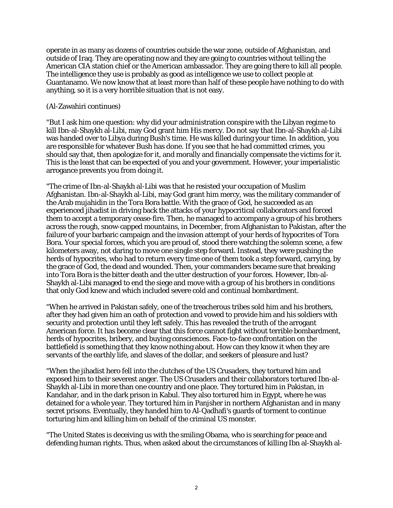operate in as many as dozens of countries outside the war zone, outside of Afghanistan, and outside of Iraq. They are operating now and they are going to countries without telling the American CIA station chief or the American ambassador. They are going there to kill all people. The intelligence they use is probably as good as intelligence we use to collect people at Guantanamo. We now know that at least more than half of these people have nothing to do with anything, so it is a very horrible situation that is not easy.

## (Al-Zawahiri continues)

"But I ask him one question: why did your administration conspire with the Libyan regime to kill Ibn-al-Shaykh al-Libi, may God grant him His mercy. Do not say that Ibn-al-Shaykh al-Libi was handed over to Libya during Bush's time. He was killed during your time. In addition, you are responsible for whatever Bush has done. If you see that he had committed crimes, you should say that, then apologize for it, and morally and financially compensate the victims for it. This is the least that can be expected of you and your government. However, your imperialistic arrogance prevents you from doing it.

"The crime of Ibn-al-Shaykh al-Libi was that he resisted your occupation of Muslim Afghanistan. Ibn-al-Shaykh al-Libi, may God grant him mercy, was the military commander of the Arab mujahidin in the Tora Bora battle. With the grace of God, he succeeded as an experienced jihadist in driving back the attacks of your hypocritical collaborators and forced them to accept a temporary cease-fire. Then, he managed to accompany a group of his brothers across the rough, snow-capped mountains, in December, from Afghanistan to Pakistan, after the failure of your barbaric campaign and the invasion attempt of your herds of hypocrites of Tora Bora. Your special forces, which you are proud of, stood there watching the solemn scene, a few kilometers away, not daring to move one single step forward. Instead, they were pushing the herds of hypocrites, who had to return every time one of them took a step forward, carrying, by the grace of God, the dead and wounded. Then, your commanders became sure that breaking into Tora Bora is the bitter death and the utter destruction of your forces. However, Ibn-al-Shaykh al-Libi managed to end the siege and move with a group of his brothers in conditions that only God knew and which included severe cold and continual bombardment.

"When he arrived in Pakistan safely, one of the treacherous tribes sold him and his brothers, after they had given him an oath of protection and vowed to provide him and his soldiers with security and protection until they left safely. This has revealed the truth of the arrogant American force. It has become clear that this force cannot fight without terrible bombardment, herds of hypocrites, bribery, and buying consciences. Face-to-face confrontation on the battlefield is something that they know nothing about. How can they know it when they are servants of the earthly life, and slaves of the dollar, and seekers of pleasure and lust?

"When the jihadist hero fell into the clutches of the US Crusaders, they tortured him and exposed him to their severest anger. The US Crusaders and their collaborators tortured Ibn-al-Shaykh al-Libi in more than one country and one place. They tortured him in Pakistan, in Kandahar, and in the dark prison in Kabul. They also tortured him in Egypt, where he was detained for a whole year. They tortured him in Panjsher in northern Afghanistan and in many secret prisons. Eventually, they handed him to Al-Qadhafi's guards of torment to continue torturing him and killing him on behalf of the criminal US monster.

"The United States is deceiving us with the smiling Obama, who is searching for peace and defending human rights. Thus, when asked about the circumstances of killing Ibn al-Shaykh al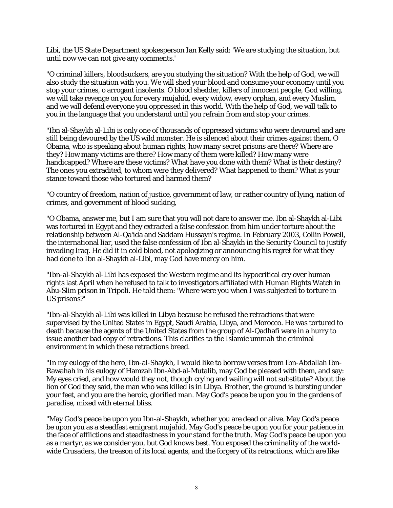Libi, the US State Department spokesperson Ian Kelly said: 'We are studying the situation, but until now we can not give any comments.'

"O criminal killers, bloodsuckers, are you studying the situation? With the help of God, we will also study the situation with you. We will shed your blood and consume your economy until you stop your crimes, o arrogant insolents. O blood shedder, killers of innocent people, God willing, we will take revenge on you for every mujahid, every widow, every orphan, and every Muslim, and we will defend everyone you oppressed in this world. With the help of God, we will talk to you in the language that you understand until you refrain from and stop your crimes.

"Ibn al-Shaykh al-Libi is only one of thousands of oppressed victims who were devoured and are still being devoured by the US wild monster. He is silenced about their crimes against them. O Obama, who is speaking about human rights, how many secret prisons are there? Where are they? How many victims are there? How many of them were killed? How many were handicapped? Where are these victims? What have you done with them? What is their destiny? The ones you extradited, to whom were they delivered? What happened to them? What is your stance toward those who tortured and harmed them?

"O country of freedom, nation of justice, government of law, or rather country of lying, nation of crimes, and government of blood sucking,

"O Obama, answer me, but I am sure that you will not dare to answer me. Ibn al-Shaykh al-Libi was tortured in Egypt and they extracted a false confession from him under torture about the relationship between Al-Qa'ida and Saddam Hussayn's regime. In February 2003, Collin Powell, the international liar, used the false confession of Ibn al-Shaykh in the Security Council to justify invading Iraq. He did it in cold blood, not apologizing or announcing his regret for what they had done to Ibn al-Shaykh al-Libi, may God have mercy on him.

"Ibn-al-Shaykh al-Libi has exposed the Western regime and its hypocritical cry over human rights last April when he refused to talk to investigators affiliated with Human Rights Watch in Abu-Slim prison in Tripoli. He told them: 'Where were you when I was subjected to torture in US prisons?'

"Ibn-al-Shaykh al-Libi was killed in Libya because he refused the retractions that were supervised by the United States in Egypt, Saudi Arabia, Libya, and Morocco. He was tortured to death because the agents of the United States from the group of Al-Qadhafi were in a hurry to issue another bad copy of retractions. This clarifies to the Islamic ummah the criminal environment in which these retractions breed.

"In my eulogy of the hero, Ibn-al-Shaykh, I would like to borrow verses from Ibn-Abdallah Ibn-Rawahah in his eulogy of Hamzah Ibn-Abd-al-Mutalib, may God be pleased with them, and say: My eyes cried, and how would they not, though crying and wailing will not substitute? About the lion of God they said, the man who was killed is in Libya. Brother, the ground is bursting under your feet, and you are the heroic, glorified man. May God's peace be upon you in the gardens of paradise, mixed with eternal bliss.

"May God's peace be upon you Ibn-al-Shaykh, whether you are dead or alive. May God's peace be upon you as a steadfast emigrant mujahid. May God's peace be upon you for your patience in the face of afflictions and steadfastness in your stand for the truth. May God's peace be upon you as a martyr, as we consider you, but God knows best. You exposed the criminality of the worldwide Crusaders, the treason of its local agents, and the forgery of its retractions, which are like